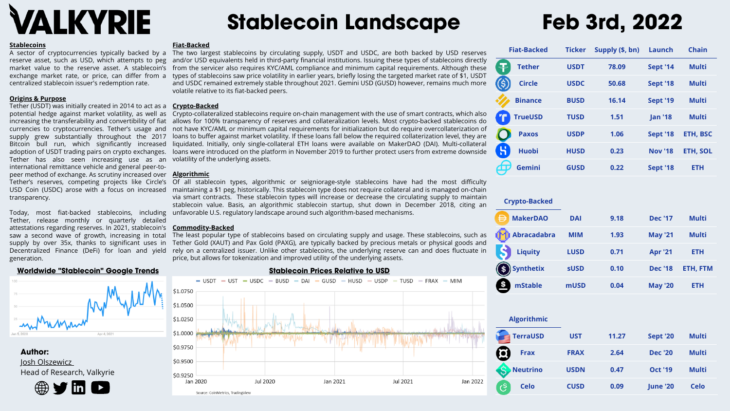| <b>Fiat-Backed</b>     | <b>Ticker</b> | Supply (\$, bn) | <b>Launch</b>   | <b>Chain</b>    |
|------------------------|---------------|-----------------|-----------------|-----------------|
| 与<br><b>Tether</b>     | <b>USDT</b>   | 78.09           | <b>Sept '14</b> | <b>Multi</b>    |
| <b>Circle</b>          | <b>USDC</b>   | 50.68           | <b>Sept '18</b> | <b>Multi</b>    |
| <b>Binance</b>         | <b>BUSD</b>   | 16.14           | <b>Sept '19</b> | <b>Multi</b>    |
| <b>TrueUSD</b>         | <b>TUSD</b>   | 1.51            | <b>Jan '18</b>  | <b>Multi</b>    |
| <b>Paxos</b>           | <b>USDP</b>   | 1.06            | <b>Sept '18</b> | <b>ETH, BSC</b> |
| ម<br><b>Huobi</b>      | <b>HUSD</b>   | 0.23            | <b>Nov '18</b>  | <b>ETH, SOL</b> |
| <b>Gemini</b><br>丏     | <b>GUSD</b>   | 0.22            | <b>Sept '18</b> | <b>ETH</b>      |
|                        |               |                 |                 |                 |
| <b>Crypto-Backed</b>   |               |                 |                 |                 |
| <b>MakerDAO</b>        | <b>DAI</b>    | 9.18            | <b>Dec '17</b>  | <b>Multi</b>    |
| <b>Abracadabra</b>     | <b>MIM</b>    | 1.93            | <b>May '21</b>  | <b>Multi</b>    |
| <b>Liquity</b>         | <b>LUSD</b>   | 0.71            | <b>Apr '21</b>  | <b>ETH</b>      |
| \$<br><b>Synthetix</b> | <b>sUSD</b>   | 0.10            | <b>Dec '18</b>  | <b>ETH, FTM</b> |
| <b>mStable</b>         | <b>mUSD</b>   | 0.04            | <b>May '20</b>  | ETH             |
|                        |               |                 |                 |                 |
| <b>Algorithmic</b>     |               |                 |                 |                 |
| <b>TerraUSD</b>        | <b>UST</b>    | 11.27           | <b>Sept '20</b> | <b>Multi</b>    |
| <b>Frax</b>            | <b>FRAX</b>   | 2.64            | <b>Dec '20</b>  | <b>Multi</b>    |
| <b>Neutrino</b>        | <b>USDN</b>   | 0.47            | <b>Oct '19</b>  | <b>Multi</b>    |
| <b>Celo</b><br>ලි      | <b>CUSD</b>   | 0.09            | <b>June '20</b> | <b>Celo</b>     |
|                        |               |                 |                 |                 |

A sector of cryptocurrencies typically backed by a The two largest stablecoins by circulating supply, USDT and USDC, are both backed by USD reserves reserve asset, such as USD, which attempts to peg and/or USD equivalents held in third-party financial institutions. Issuing these types of stablecoins directly market value to the reserve asset. A stablecoin's from the servicer also requires KYC/AML compliance and minimum capital requirements. Although these exchange market rate, or price, can differ from a types of stablecoins saw price volatility in earlier years, briefly losing the targeted market rate of \$1, USDT and USDC remained extremely stable throughout 2021. Gemini USD (GUSD) however, remains much more volatile relative to its fiat-backed peers.

potential hedge against market volatility, as well as Crypto-collateralized stablecoins require on-chain management with the use of smart contracts, which also increasing the transferability and convertibility of fiat allows for 100% transparency of reserves and collateralization levels. Most crypto-backed stablecoins do currencies to cryptocurrencies. Tether's usage and not have KYC/AML or minimum capital requirements for initialization but do require overcollaterization of supply grew substantially throughout the 2017 loans to buffer against market volatility. If these loans fall below the required collaterization level, they are Bitcoin bull run, which significantly increased liquidated.Initially,only-single-collateral-ETH-loans-were-available-on-MakerDAO-(DAI).Multi-collateral adoption of USDT trading pairs on crypto exchanges. loans were introduced on the platform in November 2019 to further protect users from extreme downside

**Author:** Josh [Olszewicz](https://twitter.com/CarpeNoctom) Head of Research, Valkyrie



### **Fiat-Backed**

Tether's reserves, competing projects like Circle's Of all stablecoin types, algorithmic or seigniorage-style stablecoins have had the most difficulty USD Coin (USDC) arose with a focus on increased maintaining a \$1 peg, historically. This stablecoin type does not require collateral and is managed on-chain via smart contracts. These stablecoin types will increase or decrease the circulating supply to maintain stablecoin value. Basis, an algorithmic stablecoin startup, shut down in December 2018, citing an unfavorable U.S. regulatory landscape around such algorithm-based mechanisms.

Tether (USDT) was initially created in 2014 to act as a  $\;\;$  **Cr<u>ypto-Backed</u>** Tether has also seen increasing use as an volatility of the underlying assets. peer method of exchange. As scrutiny increased over  $\,$  **Alg<u>orithmic</u>** international remittance vehicle and general peer-totransparency.

attestations regarding reserves. In 2021, stablecoin's <mark>Commodity-Backed</mark> Today, most fiat-backed stablecoins, including Tether, release monthly or quarterly detailed saw a second wave of growth, increasing in total supply by over 35x, thanks to significant uses in Decentralized Finance (DeFi) for loan and yield generation.

The least popular type of stablecoins based on circulating supply and usage. These stablecoins, such as Tether Gold (XAUT) and Pax Gold (PAXG), are typically backed by precious metals or physical goods and rely on a centralized issuer. Unlike other stablecoins, the underlying reserve can and does fluctuate in price, but allows for tokenization and improved utility of the underlying assets.



# **Stablecoin Landscape Feb 3rd, 2022**

# **Stablecoin Prices Relative to USD**

Jan 2022

# ALKYRIE

### **Stablecoins**

centralized stablecoin issuer's redemption rate.

## **Origins & Purpose**

**Worldwide "Stablecoin" Google Trends**

# Apr 4, 2021